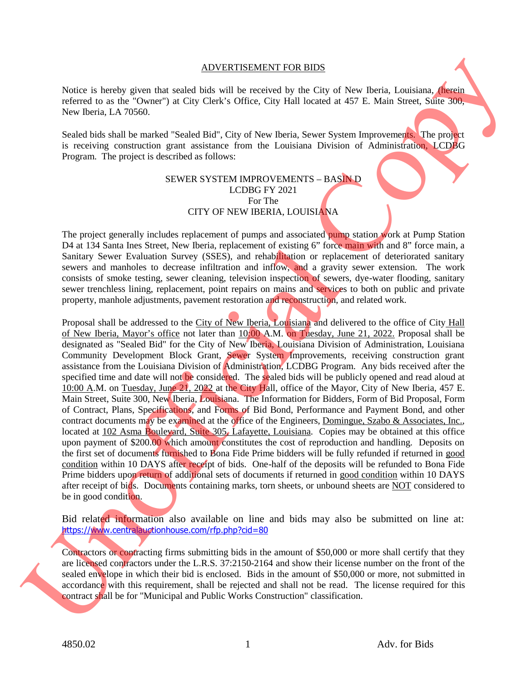## ADVERTISEMENT FOR BIDS

Notice is hereby given that sealed bids will be received by the City of New Iberia, Louisiana, (herein referred to as the "Owner") at City Clerk's Office, City Hall located at 457 E. Main Street, Suite 300, New Iberia, LA 70560.

Sealed bids shall be marked "Sealed Bid", City of New Iberia, Sewer System Improvements. The project is receiving construction grant assistance from the Louisiana Division of Administration, LCDBG Program. The project is described as follows:

## SEWER SYSTEM IMPROVEMENTS – BASIN D LCDBG FY 2021 For The CITY OF NEW IBERIA, LOUISIANA

The project generally includes replacement of pumps and associated pump station work at Pump Station D4 at 134 Santa Ines Street, New Iberia, replacement of existing 6" force main with and 8" force main, a Sanitary Sewer Evaluation Survey (SSES), and rehabilitation or replacement of deteriorated sanitary sewers and manholes to decrease infiltration and inflow, and a gravity sewer extension. The work consists of smoke testing, sewer cleaning, television inspection of sewers, dye-water flooding, sanitary sewer trenchless lining, replacement, point repairs on mains and services to both on public and private property, manhole adjustments, pavement restoration and reconstruction, and related work.

Proposal shall be addressed to the City of New Iberia, Louisiana and delivered to the office of City Hall of New Iberia, Mayor's office not later than 10:00 A.M. on Tuesday, June 21, 2022. Proposal shall be designated as "Sealed Bid" for the City of New Iberia, Louisiana Division of Administration, Louisiana Community Development Block Grant, Sewer System Improvements, receiving construction grant assistance from the Louisiana Division of Administration, LCDBG Program. Any bids received after the specified time and date will not be considered. The sealed bids will be publicly opened and read aloud at 10:00 A.M. on Tuesday, June 21, 2022 at the City Hall, office of the Mayor, City of New Iberia, 457 E. Main Street, Suite 300, New Iberia, Louisiana. The Information for Bidders, Form of Bid Proposal, Form of Contract, Plans, Specifications, and Forms of Bid Bond, Performance and Payment Bond, and other contract documents may be examined at the office of the Engineers, Domingue, Szabo & Associates, Inc., located at 102 Asma Boulevard, Suite 305, Lafayette, Louisiana. Copies may be obtained at this office upon payment of \$200.00 which amount constitutes the cost of reproduction and handling. Deposits on the first set of documents furnished to Bona Fide Prime bidders will be fully refunded if returned in good condition within 10 DAYS after receipt of bids. One-half of the deposits will be refunded to Bona Fide Prime bidders upon return of additional sets of documents if returned in good condition within 10 DAYS after receipt of bids. Documents containing marks, torn sheets, or unbound sheets are NOT considered to be in good condition. ADVERTENDENT FOR EIDS<br>
Notice the the "Constraint Constraint Constraint Constraint Constraint Constraint Constraint Constraint Constraint Constraint Constraint Constraint Constraint Construction Construction (1.5 The Cons

Bid related information also available on line and bids may also be submitted on line at: https://www.centralauctionhouse.com/rfp.php?cid=80

Contractors or contracting firms submitting bids in the amount of \$50,000 or more shall certify that they are licensed contractors under the L.R.S. 37:2150-2164 and show their license number on the front of the sealed envelope in which their bid is enclosed. Bids in the amount of \$50,000 or more, not submitted in accordance with this requirement, shall be rejected and shall not be read. The license required for this contract shall be for "Municipal and Public Works Construction" classification.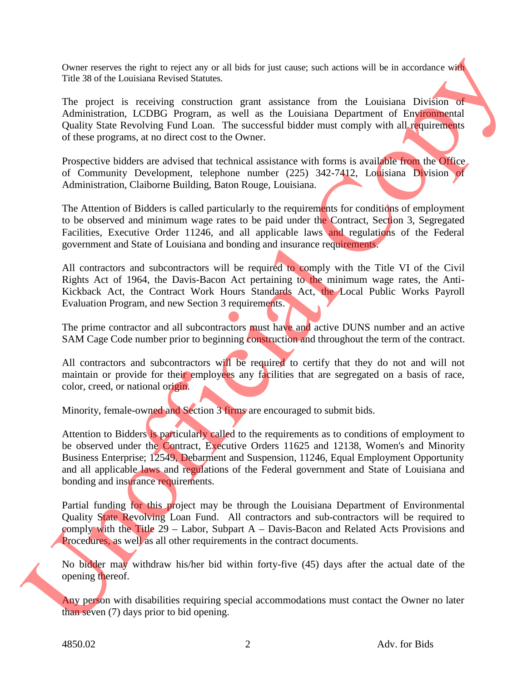Owner reserves the right to reject any or all bids for just cause; such actions will be in accordance with Title 38 of the Louisiana Revised Statutes.

The project is receiving construction grant assistance from the Louisiana Division of Administration, LCDBG Program, as well as the Louisiana Department of Environmental Quality State Revolving Fund Loan. The successful bidder must comply with all requirements of these programs, at no direct cost to the Owner.

Prospective bidders are advised that technical assistance with forms is available from the Office. of Community Development, telephone number (225) 342-7412, Louisiana Division of Administration, Claiborne Building, Baton Rouge, Louisiana.

The Attention of Bidders is called particularly to the requirements for conditions of employment to be observed and minimum wage rates to be paid under the Contract, Section 3, Segregated Facilities, Executive Order 11246, and all applicable laws and regulations of the Federal government and State of Louisiana and bonding and insurance requirements.

All contractors and subcontractors will be required to comply with the Title VI of the Civil Rights Act of 1964, the Davis-Bacon Act pertaining to the minimum wage rates, the Anti-Kickback Act, the Contract Work Hours Standards Act, the Local Public Works Payroll Evaluation Program, and new Section 3 requirements.

The prime contractor and all subcontractors must have and active DUNS number and an active SAM Cage Code number prior to beginning construction and throughout the term of the contract.

All contractors and subcontractors will be required to certify that they do not and will not maintain or provide for their employees any facilities that are segregated on a basis of race, color, creed, or national origin.

Minority, female-owned and Section 3 firms are encouraged to submit bids.

Attention to Bidders is particularly called to the requirements as to conditions of employment to be observed under the Contract, Executive Orders 11625 and 12138, Women's and Minority Business Enterprise; 12549, Debarment and Suspension, 11246, Equal Employment Opportunity and all applicable laws and regulations of the Federal government and State of Louisiana and bonding and insurance requirements. Owence assess to keep the control of the section of the set of the set of the set of the set of the set of the set of the set of the set of the set of the set of the set of the set of the set of the set of the set of the

Partial funding for this project may be through the Louisiana Department of Environmental Quality State Revolving Loan Fund. All contractors and sub-contractors will be required to comply with the Title  $29$  – Labor, Subpart A – Davis-Bacon and Related Acts Provisions and Procedures, as well as all other requirements in the contract documents.

No bidder may withdraw his/her bid within forty-five (45) days after the actual date of the opening thereof.

Any person with disabilities requiring special accommodations must contact the Owner no later